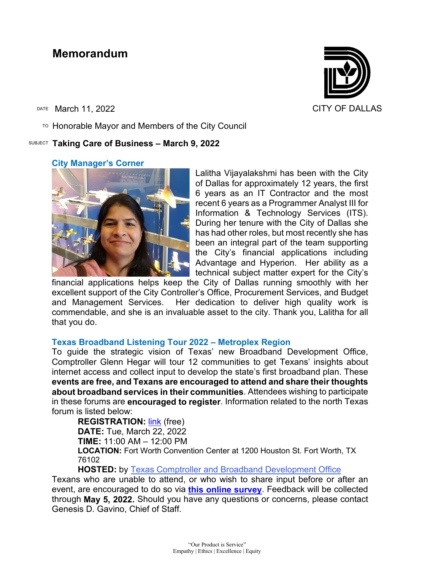# **Memorandum**

DATE March 11, 2022 CITY OF DALLAS

 $T$ <sup>O</sup> Honorable Mayor and Members of the City Council

### SUBJECT **Taking Care of Business – March 9, 2022**

### **City Manager's Corner**

Lalitha Vijayalakshmi has been with the City of Dallas for approximately 12 years, the first 6 years as an IT Contractor and the most recent 6 years as a Programmer Analyst III for Information & Technology Services (ITS). During her tenure with the City of Dallas she has had other roles, but most recently she has been an integral part of the team supporting the City's financial applications including Advantage and Hyperion. Her ability as a technical subject matter expert for the City's

financial applications helps keep the City of Dallas running smoothly with her excellent support of the City Controller's Office, Procurement Services, and Budget and Management Services. Her dedication to deliver high quality work is commendable, and she is an invaluable asset to the city. Thank you, Lalitha for all that you do.

### **Texas Broadband Listening Tour 2022 – Metroplex Region**

To guide the strategic vision of Texas' new Broadband Development Office, Comptroller Glenn Hegar will tour 12 communities to get Texans' insights about internet access and collect input to develop the state's first broadband plan. These **events are free, and Texans are encouraged to attend and share their thoughts about broadband services in their communities**. Attendees wishing to participate in these forums are **encouraged to register**. Information related to the north Texas forum is listed below:

**REGISTRATION: [link](https://gcc02.safelinks.protection.outlook.com/?url=https%3A%2F%2Fwww.eventbrite.com%2Fe%2Ftexas-broadband-listening-tour-2022-metroplex-region-tickets-293392313307%3Faff%3Daffiliate1&data=04%7C01%7Cgenesis.gavino%40dallascityhall.com%7C15b5659f37e1424e668908da02b05c35%7C2935709ec10c4809a302852d369f8700%7C0%7C1%7C637825253730548044%7CUnknown%7CTWFpbGZsb3d8eyJWIjoiMC4wLjAwMDAiLCJQIjoiV2luMzIiLCJBTiI6Ik1haWwiLCJXVCI6Mn0%3D%7C3000&sdata=tNx3NmyUJdWM7IICDipRimFwhvAK7p8%2BZmJXRkNZ71M%3D&reserved=0) (free) DATE:** Tue, March 22, 2022 **TIME:** 11:00 AM – 12:00 PM **LOCATION:** Fort Worth Convention Center at 1200 Houston St. Fort Worth, TX 76102

**HOSTED:** by [Texas Comptroller and Broadband Development Office](https://gcc02.safelinks.protection.outlook.com/?url=https%3A%2F%2Fwww.eventbrite.com%2Fo%2Ftexas-comptroller-and-broadband-development-office-42064926633&data=04%7C01%7Cgenesis.gavino%40dallascityhall.com%7C15b5659f37e1424e668908da02b05c35%7C2935709ec10c4809a302852d369f8700%7C0%7C1%7C637825253730548044%7CUnknown%7CTWFpbGZsb3d8eyJWIjoiMC4wLjAwMDAiLCJQIjoiV2luMzIiLCJBTiI6Ik1haWwiLCJXVCI6Mn0%3D%7C3000&sdata=At5jKMxcZMsziLLfegv41T9kObecrIE39Zq32IRaiwE%3D&reserved=0)

Texans who are unable to attend, or who wish to share input before or after an event, are encouraged to do so via **[this online survey](https://gcc02.safelinks.protection.outlook.com/?url=https%3A%2F%2Fwww.surveymonkey.com%2Fr%2FTexas-BDO-2022&data=04%7C01%7Cgenesis.gavino%40dallascityhall.com%7C15b5659f37e1424e668908da02b05c35%7C2935709ec10c4809a302852d369f8700%7C0%7C1%7C637825253730548044%7CUnknown%7CTWFpbGZsb3d8eyJWIjoiMC4wLjAwMDAiLCJQIjoiV2luMzIiLCJBTiI6Ik1haWwiLCJXVCI6Mn0%3D%7C3000&sdata=QLDuHGcus180IYdkE6SI4%2FqjVwz2BXsuDyzpL0KLqq0%3D&reserved=0)**. Feedback will be collected through **May 5, 2022.** Should you have any questions or concerns, please contact Genesis D. Gavino, Chief of Staff.

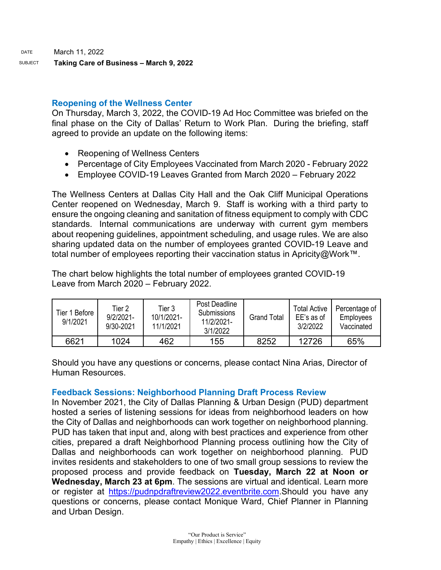# **Reopening of the Wellness Center**

On Thursday, March 3, 2022, the COVID-19 Ad Hoc Committee was briefed on the final phase on the City of Dallas' Return to Work Plan. During the briefing, staff agreed to provide an update on the following items:

- Reopening of Wellness Centers
- Percentage of City Employees Vaccinated from March 2020 February 2022
- Employee COVID-19 Leaves Granted from March 2020 February 2022

The Wellness Centers at Dallas City Hall and the Oak Cliff Municipal Operations Center reopened on Wednesday, March 9. Staff is working with a third party to ensure the ongoing cleaning and sanitation of fitness equipment to comply with CDC standards. Internal communications are underway with current gym members about reopening guidelines, appointment scheduling, and usage rules. We are also sharing updated data on the number of employees granted COVID-19 Leave and total number of employees reporting their vaccination status in Apricity@Work™.

The chart below highlights the total number of employees granted COVID-19 Leave from March 2020 – February 2022.

| Tier 1 Before<br>9/1/2021 | Tier 2<br>$9/2/2021 -$<br>9/30-2021 | Tier 3<br>10/1/2021-<br>11/1/2021 | Post Deadline<br>Submissions<br>11/2/2021-<br>3/1/2022 | <b>Grand Total</b> | <b>Total Active</b><br>EE's as of<br>3/2/2022 | Percentage of<br>Employees<br>Vaccinated |
|---------------------------|-------------------------------------|-----------------------------------|--------------------------------------------------------|--------------------|-----------------------------------------------|------------------------------------------|
| 6621                      | 1024                                | 462                               | 155                                                    | 8252               | 12726                                         | 65%                                      |

Should you have any questions or concerns, please contact Nina Arias, Director of Human Resources.

# **Feedback Sessions: Neighborhood Planning Draft Process Review**

In November 2021, the City of Dallas Planning & Urban Design (PUD) department hosted a series of listening sessions for ideas from neighborhood leaders on how the City of Dallas and neighborhoods can work together on neighborhood planning. PUD has taken that input and, along with best practices and experience from other cities, prepared a draft Neighborhood Planning process outlining how the City of Dallas and neighborhoods can work together on neighborhood planning. PUD invites residents and stakeholders to one of two small group sessions to review the proposed process and provide feedback on **Tuesday, March 22 at Noon or Wednesday, March 23 at 6pm**. The sessions are virtual and identical. Learn more or register at [https://pudnpdraftreview2022.eventbrite.com.](https://gcc02.safelinks.protection.outlook.com/?url=https%3A%2F%2Fpudnpdraftreview2022.eventbrite.com%2F&data=04%7C01%7Ctatjana.williams%40dallascityhall.com%7C47b08fef06d144c10e3708da00893f65%7C2935709ec10c4809a302852d369f8700%7C0%7C0%7C637822886985718299%7CUnknown%7CTWFpbGZsb3d8eyJWIjoiMC4wLjAwMDAiLCJQIjoiV2luMzIiLCJBTiI6Ik1haWwiLCJXVCI6Mn0%3D%7C3000&sdata=FcCs7f%2B51buvuhpyR%2FGdA8tHF8dAblwA%2BowwjkUqmS0%3D&reserved=0)Should you have any questions or concerns, please contact Monique Ward, Chief Planner in Planning and Urban Design.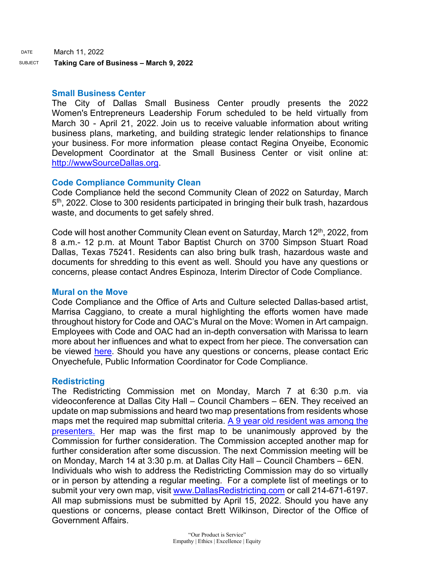DATE March 11, 2022

SUBJECT **Taking Care of Business – March 9, 2022**

#### **Small Business Center**

The City of Dallas Small Business Center proudly presents the 2022 Women's Entrepreneurs Leadership Forum scheduled to be held virtually from March 30 - April 21, 2022. Join us to receive valuable information about writing business plans, marketing, and building strategic lender relationships to finance your business. For more information please contact Regina Onyeibe, Economic Development Coordinator at the Small Business Center or visit online at: [http://wwwSourceDallas.org.](https://gcc02.safelinks.protection.outlook.com/?url=http%3A%2F%2Fwwwsourcedallas.org%2F&data=04%7C01%7Ctatjana.williams%40dallascityhall.com%7C74cb13a1f2df4c90b37108da01600b52%7C2935709ec10c4809a302852d369f8700%7C0%7C0%7C637823809263029973%7CUnknown%7CTWFpbGZsb3d8eyJWIjoiMC4wLjAwMDAiLCJQIjoiV2luMzIiLCJBTiI6Ik1haWwiLCJXVCI6Mn0%3D%7C3000&sdata=tVDYWYDBLQTNAFaatg8%2FnwA%2F4kCU34RAdNCktYJtLo8%3D&reserved=0)

### **Code Compliance Community Clean**

Code Compliance held the second Community Clean of 2022 on Saturday, March  $5<sup>th</sup>$ , 2022. Close to 300 residents participated in bringing their bulk trash, hazardous waste, and documents to get safely shred.

Code will host another Community Clean event on Saturday, March 12th, 2022, from 8 a.m.- 12 p.m. at Mount Tabor Baptist Church on 3700 Simpson Stuart Road Dallas, Texas 75241. Residents can also bring bulk trash, hazardous waste and documents for shredding to this event as well. Should you have any questions or concerns, please contact Andres Espinoza, Interim Director of Code Compliance.

#### **Mural on the Move**

Code Compliance and the Office of Arts and Culture selected Dallas-based artist, Marrisa Caggiano, to create a mural highlighting the efforts women have made throughout history for Code and OAC's Mural on the Move: Women in Art campaign. Employees with Code and OAC had an in-depth conversation with Marissa to learn more about her influences and what to expect from her piece. The conversation can be viewed [here.](https://www.youtube.com/watch?v=XTeGquroTPs) Should you have any questions or concerns, please contact Eric Onyechefule, Public Information Coordinator for Code Compliance.

#### **Redistricting**

The Redistricting Commission met on Monday, March 7 at 6:30 p.m. via videoconference at Dallas City Hall – Council Chambers – 6EN. They received an update on map submissions and heard two map presentations from residents whose maps met the required map submittal criteria.  $\underline{A}$  9 year old resident was among the [presenters.](https://gcc02.safelinks.protection.outlook.com/?url=https%3A%2F%2Fprestonhollow.advocatemag.com%2F2022%2F03%2F07%2Farthur-kramer-redistricting-map%2F&data=04%7C01%7Ctatjana.williams%40dallascityhall.com%7C4911e598d5954824eca608da01380f16%7C2935709ec10c4809a302852d369f8700%7C0%7C0%7C637823637520204308%7CUnknown%7CTWFpbGZsb3d8eyJWIjoiMC4wLjAwMDAiLCJQIjoiV2luMzIiLCJBTiI6Ik1haWwiLCJXVCI6Mn0%3D%7C3000&sdata=LQQROdAQFuCs%2FuT5ADIvZRNVTMYdVXiXmdSXA0utxqs%3D&reserved=0) Her map was the first map to be unanimously approved by the Commission for further consideration. The Commission accepted another map for further consideration after some discussion. The next Commission meeting will be on Monday, March 14 at 3:30 p.m. at Dallas City Hall – Council Chambers – 6EN. Individuals who wish to address the Redistricting Commission may do so virtually or in person by attending a regular meeting. For a complete list of meetings or to submit your very own map, visit [www.DallasRedistricting.com](https://gcc02.safelinks.protection.outlook.com/?url=http%3A%2F%2Fwww.dallasredistricting.com%2F&data=04%7C01%7Ctatjana.williams%40dallascityhall.com%7C4911e598d5954824eca608da01380f16%7C2935709ec10c4809a302852d369f8700%7C0%7C0%7C637823637520204308%7CUnknown%7CTWFpbGZsb3d8eyJWIjoiMC4wLjAwMDAiLCJQIjoiV2luMzIiLCJBTiI6Ik1haWwiLCJXVCI6Mn0%3D%7C3000&sdata=ZM%2Bo9e9rLVv8oL8jKkm32mwpaMcwtpSRONiAfTHOOP0%3D&reserved=0) or call 214-671-6197. All map submissions must be submitted by April 15, 2022. Should you have any questions or concerns, please contact Brett Wilkinson, Director of the Office of Government Affairs.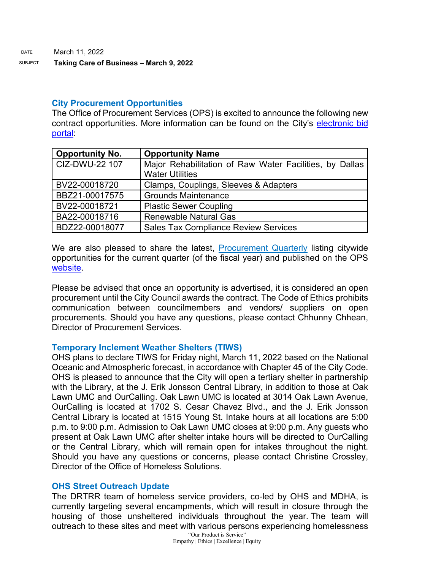### SUBJECT **Taking Care of Business – March 9, 2022**

## **City Procurement Opportunities**

The Office of Procurement Services (OPS) is excited to announce the following new contract opportunities. More information can be found on the City's [electronic bid](https://gcc02.safelinks.protection.outlook.com/?url=https%3A%2F%2Fdallascityhall.bonfirehub.com%2Fportal%2F%3Ftab%3DopenOpportunities&data=04%7C01%7Ctatjana.williams%40dallascityhall.com%7C03066e22b3af4685cf2308d9fe138734%7C2935709ec10c4809a302852d369f8700%7C0%7C0%7C637820182084951378%7CUnknown%7CTWFpbGZsb3d8eyJWIjoiMC4wLjAwMDAiLCJQIjoiV2luMzIiLCJBTiI6Ik1haWwiLCJXVCI6Mn0%3D%7C3000&sdata=w9bWqqTbq1sKcJdxL6HlqeY9h0RLDdH8eULgUQgvsQY%3D&reserved=0)  [portal:](https://gcc02.safelinks.protection.outlook.com/?url=https%3A%2F%2Fdallascityhall.bonfirehub.com%2Fportal%2F%3Ftab%3DopenOpportunities&data=04%7C01%7Ctatjana.williams%40dallascityhall.com%7C03066e22b3af4685cf2308d9fe138734%7C2935709ec10c4809a302852d369f8700%7C0%7C0%7C637820182084951378%7CUnknown%7CTWFpbGZsb3d8eyJWIjoiMC4wLjAwMDAiLCJQIjoiV2luMzIiLCJBTiI6Ik1haWwiLCJXVCI6Mn0%3D%7C3000&sdata=w9bWqqTbq1sKcJdxL6HlqeY9h0RLDdH8eULgUQgvsQY%3D&reserved=0)

| <b>Opportunity No.</b> | <b>Opportunity Name</b>                                 |  |
|------------------------|---------------------------------------------------------|--|
| CIZ-DWU-22 107         | Major Rehabilitation of Raw Water Facilities, by Dallas |  |
|                        | <b>Water Utilities</b>                                  |  |
| BV22-00018720          | Clamps, Couplings, Sleeves & Adapters                   |  |
| BBZ21-00017575         | <b>Grounds Maintenance</b>                              |  |
| BV22-00018721          | <b>Plastic Sewer Coupling</b>                           |  |
| BA22-00018716          | <b>Renewable Natural Gas</b>                            |  |
| BDZ22-00018077         | <b>Sales Tax Compliance Review Services</b>             |  |

We are also pleased to share the latest, [Procurement Quarterly](https://gcc02.safelinks.protection.outlook.com/?url=https%3A%2F%2Fdallascityhall.com%2Fdepartments%2Fprocurement%2FPublishingImages%2FPages%2Fdefault%2FProcurement%2520Quarterly%2520Forecast%2520FY22%2520Q2.pdf&data=04%7C01%7Ctatjana.williams%40dallascityhall.com%7C03066e22b3af4685cf2308d9fe138734%7C2935709ec10c4809a302852d369f8700%7C0%7C0%7C637820182084951378%7CUnknown%7CTWFpbGZsb3d8eyJWIjoiMC4wLjAwMDAiLCJQIjoiV2luMzIiLCJBTiI6Ik1haWwiLCJXVCI6Mn0%3D%7C3000&sdata=5xXu8maIYJ78kfWvj6xfXl%2FhatH%2B%2FODY1ABXiR9a7Fs%3D&reserved=0) listing citywide opportunities for the current quarter (of the fiscal year) and published on the OPS [website.](https://gcc02.safelinks.protection.outlook.com/?url=https%3A%2F%2Fdallascityhall.com%2Fdepartments%2Fprocurement%2FPages%2Fdefault.aspx&data=04%7C01%7Ctatjana.williams%40dallascityhall.com%7C03066e22b3af4685cf2308d9fe138734%7C2935709ec10c4809a302852d369f8700%7C0%7C0%7C637820182084951378%7CUnknown%7CTWFpbGZsb3d8eyJWIjoiMC4wLjAwMDAiLCJQIjoiV2luMzIiLCJBTiI6Ik1haWwiLCJXVCI6Mn0%3D%7C3000&sdata=E3PdtDtFGgWbZxAp%2FioRYQ1f5L3hk4xi30FrFGkvKQ4%3D&reserved=0)

Please be advised that once an opportunity is advertised, it is considered an open procurement until the City Council awards the contract. The Code of Ethics prohibits communication between councilmembers and vendors/ suppliers on open procurements. Should you have any questions, please contact Chhunny Chhean, Director of Procurement Services.

# **Temporary Inclement Weather Shelters (TIWS)**

OHS plans to declare TIWS for Friday night, March 11, 2022 based on the National Oceanic and Atmospheric forecast, in accordance with Chapter 45 of the City Code. OHS is pleased to announce that the City will open a tertiary shelter in partnership with the Library, at the J. Erik Jonsson Central Library, in addition to those at Oak Lawn UMC and OurCalling. Oak Lawn UMC is located at 3014 Oak Lawn Avenue, OurCalling is located at 1702 S. Cesar Chavez Blvd., and the J. Erik Jonsson Central Library is located at 1515 Young St. Intake hours at all locations are 5:00 p.m. to 9:00 p.m. Admission to Oak Lawn UMC closes at 9:00 p.m. Any guests who present at Oak Lawn UMC after shelter intake hours will be directed to OurCalling or the Central Library, which will remain open for intakes throughout the night. Should you have any questions or concerns, please contact Christine Crossley, Director of the Office of Homeless Solutions.

# **OHS Street Outreach Update**

The DRTRR team of homeless service providers, co-led by OHS and MDHA, is currently targeting several encampments, which will result in closure through the housing of those unsheltered individuals throughout the year. The team will outreach to these sites and meet with various persons experiencing homelessness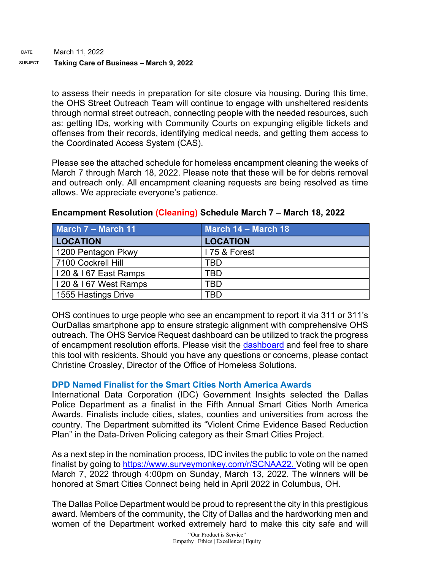to assess their needs in preparation for site closure via housing. During this time, the OHS Street Outreach Team will continue to engage with unsheltered residents through normal street outreach, connecting people with the needed resources, such as: getting IDs, working with Community Courts on expunging eligible tickets and offenses from their records, identifying medical needs, and getting them access to the Coordinated Access System (CAS).

Please see the attached schedule for homeless encampment cleaning the weeks of March 7 through March 18, 2022. Please note that these will be for debris removal and outreach only. All encampment cleaning requests are being resolved as time allows. We appreciate everyone's patience.

| <b>March 7 - March 11</b> | March 14 - March 18 |
|---------------------------|---------------------|
| <b>LOCATION</b>           | <b>LOCATION</b>     |
| 1200 Pentagon Pkwy        | I 75 & Forest       |
| 7100 Cockrell Hill        | TRD                 |
| I 20 & I 67 East Ramps    | TBD                 |
| I 20 & I 67 West Ramps    | TRD                 |
| 1555 Hastings Drive       | TRD                 |

# **Encampment Resolution (Cleaning) Schedule March 7 – March 18, 2022**

OHS continues to urge people who see an encampment to report it via 311 or 311's OurDallas smartphone app to ensure strategic alignment with comprehensive OHS outreach. The OHS Service Request dashboard can be utilized to track the progress of encampment resolution efforts. Please visit the [dashboard](https://gcc02.safelinks.protection.outlook.com/?url=https%3A%2F%2Fdallasgis.maps.arcgis.com%2Fapps%2Fopsdashboard%2Findex.html%23%2Fccd41f0d795f407a94ae17e2c27bf073&data=04%7C01%7CAmanda.Voigt%40dallascityhall.com%7C45f12cc3352040105b8308d9fbcb6d7a%7C2935709ec10c4809a302852d369f8700%7C0%7C0%7C637817673400555821%7CUnknown%7CTWFpbGZsb3d8eyJWIjoiMC4wLjAwMDAiLCJQIjoiV2luMzIiLCJBTiI6Ik1haWwiLCJXVCI6Mn0%3D%7C3000&sdata=zBK9TJ%2FxRq23uCczgqh0DBvzdKPq6ITbYwpLxvg3nLI%3D&reserved=0) and feel free to share this tool with residents. Should you have any questions or concerns, please contact Christine Crossley, Director of the Office of Homeless Solutions.

# **DPD Named Finalist for the Smart Cities North America Awards**

International Data Corporation (IDC) Government Insights selected the Dallas Police Department as a finalist in the Fifth Annual Smart Cities North America Awards. Finalists include cities, states, counties and universities from across the country. The Department submitted its "Violent Crime Evidence Based Reduction Plan" in the Data-Driven Policing category as their Smart Cities Project.

As a next step in the nomination process, IDC invites the public to vote on the named finalist by going to [https://www.surveymonkey.com/r/SCNAA22.](https://gcc02.safelinks.protection.outlook.com/?url=https%3A%2F%2Fwww.surveymonkey.com%2Fr%2FSCNAA22&data=04%7C01%7Ctatjana.williams%40dallascityhall.com%7C32b8294ab57f47b835ef08da0152d79e%7C2935709ec10c4809a302852d369f8700%7C0%7C0%7C637823752556681057%7CUnknown%7CTWFpbGZsb3d8eyJWIjoiMC4wLjAwMDAiLCJQIjoiV2luMzIiLCJBTiI6Ik1haWwiLCJXVCI6Mn0%3D%7C3000&sdata=lyeIhmtlQU3jGF2CAH1GWdLQH5U32xfyUfq0G6HVspI%3D&reserved=0) Voting will be open March 7, 2022 through 4:00pm on Sunday, March 13, 2022. The winners will be honored at Smart Cities Connect being held in April 2022 in Columbus, OH.

The Dallas Police Department would be proud to represent the city in this prestigious award. Members of the community, the City of Dallas and the hardworking men and women of the Department worked extremely hard to make this city safe and will